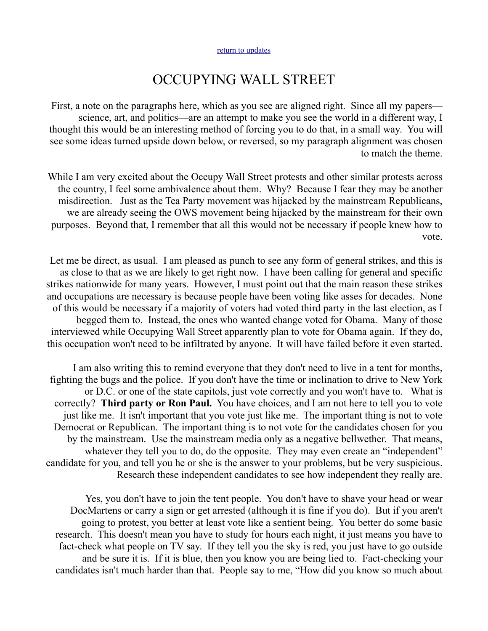## OCCUPYING WALL STREET

First, a note on the paragraphs here, which as you see are aligned right. Since all my papers science, art, and politics—are an attempt to make you see the world in a different way, I thought this would be an interesting method of forcing you to do that, in a small way. You will see some ideas turned upside down below, or reversed, so my paragraph alignment was chosen to match the theme.

While I am very excited about the Occupy Wall Street protests and other similar protests across the country, I feel some ambivalence about them. Why? Because I fear they may be another misdirection. Just as the Tea Party movement was hijacked by the mainstream Republicans, we are already seeing the OWS movement being hijacked by the mainstream for their own purposes. Beyond that, I remember that all this would not be necessary if people knew how to vote.

Let me be direct, as usual. I am pleased as punch to see any form of general strikes, and this is as close to that as we are likely to get right now. I have been calling for general and specific strikes nationwide for many years. However, I must point out that the main reason these strikes and occupations are necessary is because people have been voting like asses for decades. None of this would be necessary if a majority of voters had voted third party in the last election, as I begged them to. Instead, the ones who wanted change voted for Obama. Many of those interviewed while Occupying Wall Street apparently plan to vote for Obama again. If they do, this occupation won't need to be infiltrated by anyone. It will have failed before it even started.

I am also writing this to remind everyone that they don't need to live in a tent for months, fighting the bugs and the police. If you don't have the time or inclination to drive to New York or D.C. or one of the state capitols, just vote correctly and you won't have to. What is correctly? **Third party or Ron Paul.** You have choices, and I am not here to tell you to vote just like me. It isn't important that you vote just like me. The important thing is not to vote Democrat or Republican. The important thing is to not vote for the candidates chosen for you by the mainstream. Use the mainstream media only as a negative bellwether. That means, whatever they tell you to do, do the opposite. They may even create an "independent" candidate for you, and tell you he or she is the answer to your problems, but be very suspicious. Research these independent candidates to see how independent they really are.

Yes, you don't have to join the tent people. You don't have to shave your head or wear DocMartens or carry a sign or get arrested (although it is fine if you do). But if you aren't going to protest, you better at least vote like a sentient being. You better do some basic research. This doesn't mean you have to study for hours each night, it just means you have to fact-check what people on TV say. If they tell you the sky is red, you just have to go outside and be sure it is. If it is blue, then you know you are being lied to. Fact-checking your candidates isn't much harder than that. People say to me, "How did you know so much about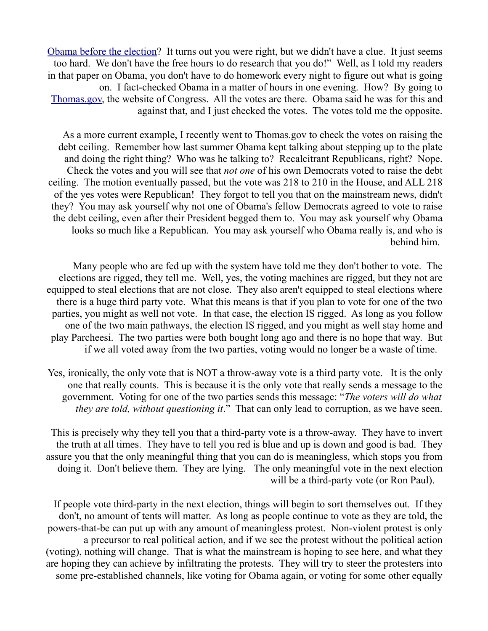[Obama before the election?](http://mileswmathis.com/obama.html) It turns out you were right, but we didn't have a clue. It just seems too hard. We don't have the free hours to do research that you do!" Well, as I told my readers in that paper on Obama, you don't have to do homework every night to figure out what is going on. I fact-checked Obama in a matter of hours in one evening. How? By going to [Thomas.gov,](http://thomas.gov/) the website of Congress. All the votes are there. Obama said he was for this and against that, and I just checked the votes. The votes told me the opposite.

As a more current example, I recently went to Thomas.gov to check the votes on raising the debt ceiling. Remember how last summer Obama kept talking about stepping up to the plate and doing the right thing? Who was he talking to? Recalcitrant Republicans, right? Nope. Check the votes and you will see that *not one* of his own Democrats voted to raise the debt ceiling. The motion eventually passed, but the vote was 218 to 210 in the House, and ALL 218 of the yes votes were Republican! They forgot to tell you that on the mainstream news, didn't they? You may ask yourself why not one of Obama's fellow Democrats agreed to vote to raise the debt ceiling, even after their President begged them to. You may ask yourself why Obama looks so much like a Republican. You may ask yourself who Obama really is, and who is behind him.

Many people who are fed up with the system have told me they don't bother to vote. The elections are rigged, they tell me. Well, yes, the voting machines are rigged, but they not are equipped to steal elections that are not close. They also aren't equipped to steal elections where there is a huge third party vote. What this means is that if you plan to vote for one of the two parties, you might as well not vote. In that case, the election IS rigged. As long as you follow one of the two main pathways, the election IS rigged, and you might as well stay home and play Parcheesi. The two parties were both bought long ago and there is no hope that way. But if we all voted away from the two parties, voting would no longer be a waste of time.

Yes, ironically, the only vote that is NOT a throw-away vote is a third party vote. It is the only one that really counts. This is because it is the only vote that really sends a message to the government. Voting for one of the two parties sends this message: "*The voters will do what they are told, without questioning it.*" That can only lead to corruption, as we have seen.

This is precisely why they tell you that a third-party vote is a throw-away. They have to invert the truth at all times. They have to tell you red is blue and up is down and good is bad. They assure you that the only meaningful thing that you can do is meaningless, which stops you from doing it. Don't believe them. They are lying. The only meaningful vote in the next election will be a third-party vote (or Ron Paul).

If people vote third-party in the next election, things will begin to sort themselves out. If they don't, no amount of tents will matter. As long as people continue to vote as they are told, the powers-that-be can put up with any amount of meaningless protest. Non-violent protest is only a precursor to real political action, and if we see the protest without the political action (voting), nothing will change. That is what the mainstream is hoping to see here, and what they are hoping they can achieve by infiltrating the protests. They will try to steer the protesters into some pre-established channels, like voting for Obama again, or voting for some other equally